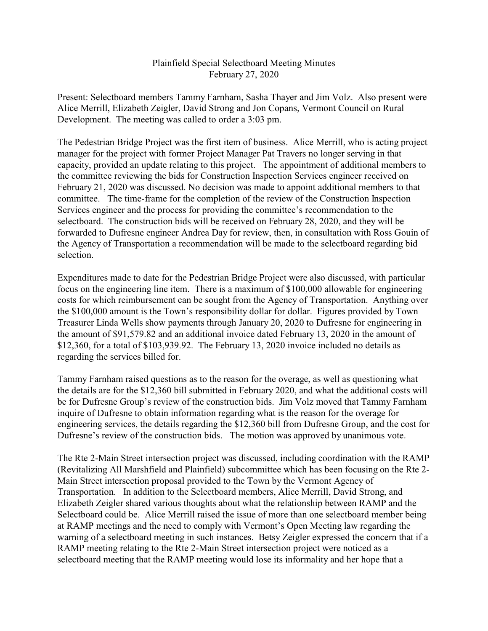## Plainfield Special Selectboard Meeting Minutes February 27, 2020

Present: Selectboard members Tammy Farnham, Sasha Thayer and Jim Volz. Also present were Alice Merrill, Elizabeth Zeigler, David Strong and Jon Copans, Vermont Council on Rural Development. The meeting was called to order a 3:03 pm.

The Pedestrian Bridge Project was the first item of business. Alice Merrill, who is acting project manager for the project with former Project Manager Pat Travers no longer serving in that capacity, provided an update relating to this project. The appointment of additional members to the committee reviewing the bids for Construction Inspection Services engineer received on February 21, 2020 was discussed. No decision was made to appoint additional members to that committee. The time-frame for the completion of the review of the Construction Inspection Services engineer and the process for providing the committee's recommendation to the selectboard. The construction bids will be received on February 28, 2020, and they will be forwarded to Dufresne engineer Andrea Day for review, then, in consultation with Ross Gouin of the Agency of Transportation a recommendation will be made to the selectboard regarding bid selection.

Expenditures made to date for the Pedestrian Bridge Project were also discussed, with particular focus on the engineering line item. There is a maximum of \$100,000 allowable for engineering costs for which reimbursement can be sought from the Agency of Transportation. Anything over the \$100,000 amount is the Town's responsibility dollar for dollar. Figures provided by Town Treasurer Linda Wells show payments through January 20, 2020 to Dufresne for engineering in the amount of \$91,579.82 and an additional invoice dated February 13, 2020 in the amount of \$12,360, for a total of \$103,939.92. The February 13, 2020 invoice included no details as regarding the services billed for.

Tammy Farnham raised questions as to the reason for the overage, as well as questioning what the details are for the \$12,360 bill submitted in February 2020, and what the additional costs will be for Dufresne Group's review of the construction bids. Jim Volz moved that Tammy Farnham inquire of Dufresne to obtain information regarding what is the reason for the overage for engineering services, the details regarding the \$12,360 bill from Dufresne Group, and the cost for Dufresne's review of the construction bids. The motion was approved by unanimous vote.

The Rte 2-Main Street intersection project was discussed, including coordination with the RAMP (Revitalizing All Marshfield and Plainfield) subcommittee which has been focusing on the Rte 2- Main Street intersection proposal provided to the Town by the Vermont Agency of Transportation. In addition to the Selectboard members, Alice Merrill, David Strong, and Elizabeth Zeigler shared various thoughts about what the relationship between RAMP and the Selectboard could be. Alice Merrill raised the issue of more than one selectboard member being at RAMP meetings and the need to comply with Vermont's Open Meeting law regarding the warning of a selectboard meeting in such instances. Betsy Zeigler expressed the concern that if a RAMP meeting relating to the Rte 2-Main Street intersection project were noticed as a selectboard meeting that the RAMP meeting would lose its informality and her hope that a